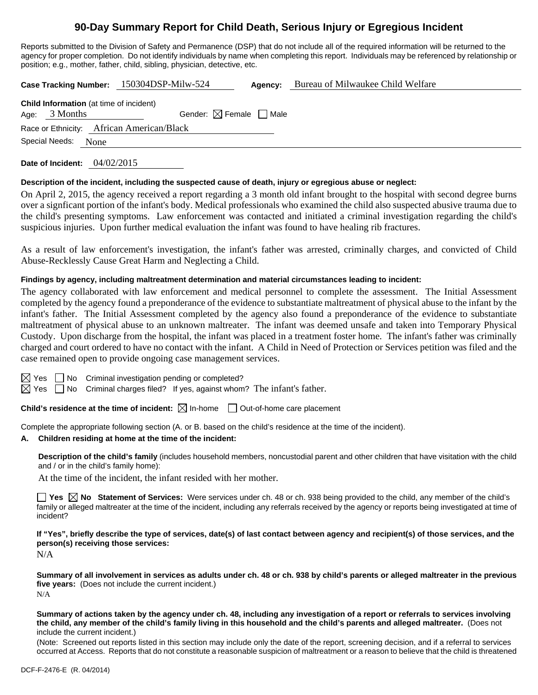# **90-Day Summary Report for Child Death, Serious Injury or Egregious Incident**

Reports submitted to the Division of Safety and Permanence (DSP) that do not include all of the required information will be returned to the agency for proper completion. Do not identify individuals by name when completing this report. Individuals may be referenced by relationship or position; e.g., mother, father, child, sibling, physician, detective, etc.

**Case Tracking Number:** 150304DSP-Milw-524 **Agency:** Bureau of Milwaukee Child Welfare

| <b>Child Information</b> (at time of incident) |                        |                                        |  |  |  |
|------------------------------------------------|------------------------|----------------------------------------|--|--|--|
|                                                | Age: $3$ Months        | Gender: $\boxtimes$ Female $\Box$ Male |  |  |  |
| Race or Ethnicity: African American/Black      |                        |                                        |  |  |  |
|                                                | Special Needs:<br>None |                                        |  |  |  |

**Date of Incident:** 04/02/2015

# **Description of the incident, including the suspected cause of death, injury or egregious abuse or neglect:**

On April 2, 2015, the agency received a report regarding a 3 month old infant brought to the hospital with second degree burns over a signficant portion of the infant's body. Medical professionals who examined the child also suspected abusive trauma due to the child's presenting symptoms. Law enforcement was contacted and initiated a criminal investigation regarding the child's suspicious injuries. Upon further medical evaluation the infant was found to have healing rib fractures.

As a result of law enforcement's investigation, the infant's father was arrested, criminally charges, and convicted of Child Abuse-Recklessly Cause Great Harm and Neglecting a Child.

# **Findings by agency, including maltreatment determination and material circumstances leading to incident:**

The agency collaborated with law enforcement and medical personnel to complete the assessment. The Initial Assessment completed by the agency found a preponderance of the evidence to substantiate maltreatment of physical abuse to the infant by the infant's father. The Initial Assessment completed by the agency also found a preponderance of the evidence to substantiate maltreatment of physical abuse to an unknown maltreater. The infant was deemed unsafe and taken into Temporary Physical Custody. Upon discharge from the hospital, the infant was placed in a treatment foster home. The infant's father was criminally charged and court ordered to have no contact with the infant. A Child in Need of Protection or Services petition was filed and the case remained open to provide ongoing case management services.

 $\Box$  No Criminal investigation pending or completed?

Yes  $\Box$  No Criminal charges filed? If yes, against whom? The infant's father. M

**Child's residence at the time of incident:**  $\boxtimes$  In-home  $\Box$  Out-of-home care placement

Complete the appropriate following section (A. or B. based on the child's residence at the time of the incident).

# **A. Children residing at home at the time of the incident:**

**Description of the child's family** (includes household members, noncustodial parent and other children that have visitation with the child and / or in the child's family home):

At the time of the incident, the infant resided with her mother.

■ Yes **No** Statement of Services: Were services under ch. 48 or ch. 938 being provided to the child, any member of the child's family or alleged maltreater at the time of the incident, including any referrals received by the agency or reports being investigated at time of incident?

**If "Yes", briefly describe the type of services, date(s) of last contact between agency and recipient(s) of those services, and the person(s) receiving those services:** 

N/A

**Summary of all involvement in services as adults under ch. 48 or ch. 938 by child's parents or alleged maltreater in the previous five years:** (Does not include the current incident.) N/A

**Summary of actions taken by the agency under ch. 48, including any investigation of a report or referrals to services involving the child, any member of the child's family living in this household and the child's parents and alleged maltreater.** (Does not include the current incident.)

(Note: Screened out reports listed in this section may include only the date of the report, screening decision, and if a referral to services occurred at Access. Reports that do not constitute a reasonable suspicion of maltreatment or a reason to believe that the child is threatened